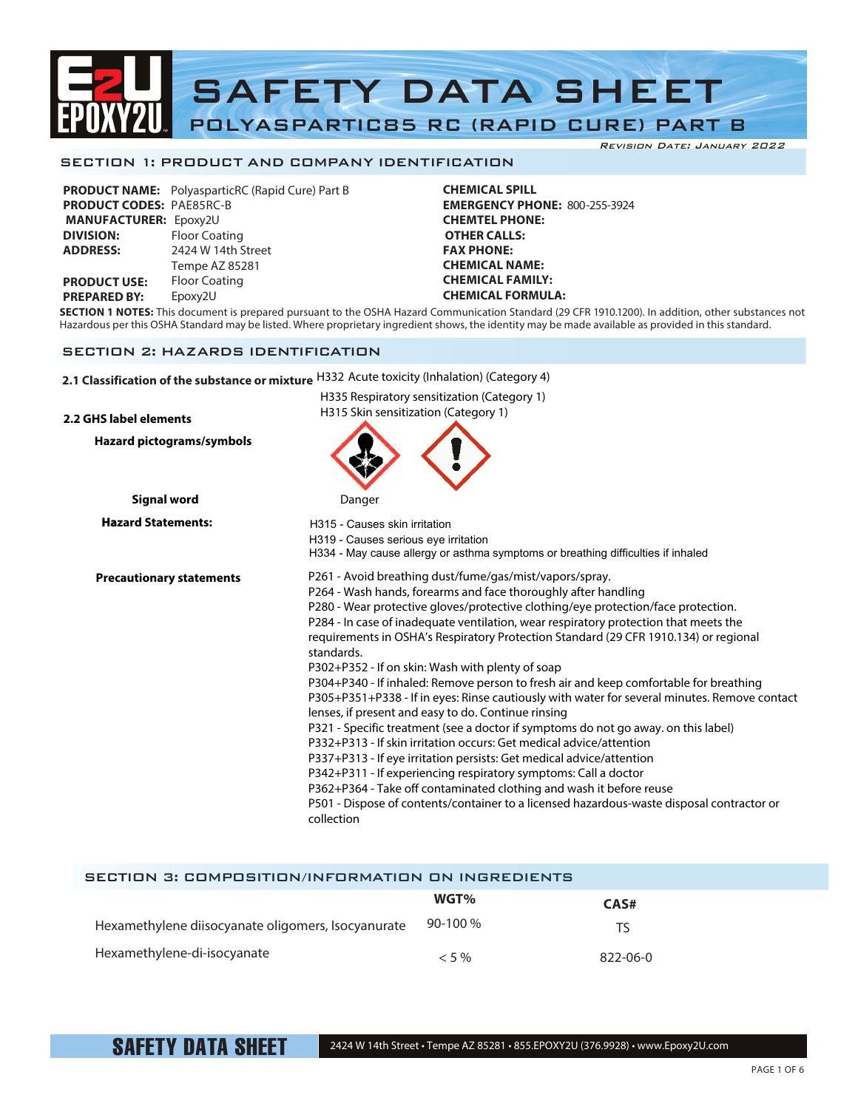

Revision Date: January 2022

# SECTION 1: PRODUCT AND COMPANY IDENTIFICATION

**PRODUCT NAME:** PolyasparticRC (Rapid Cure) Part B **PRODUCT CODES:** PAE85RC-B **MANUFACTURER:** Epoxy2U **DIVISION: ADDRESS: PRODUCT USE: PREPARED BY:** Floor Coating 2424 W 14th Street Tempe AZ 85281 Floor Coating Epoxy2U

# **CHEMICAL SPILL EMERGENCY PHONE:** 800-255-3924 **CHEMTEL PHONE: OTHER CALLS: FAX PHONE: CHEMICAL NAME: CHEMICAL FAMILY: CHEMICAL FORMULA:**

**SECTION 1 NOTES:** This document is prepared pursuant to the OSHA Hazard Communication Standard (29 CFR 1910.1200). In addition, other substances not Hazardous per this OSHA Standard may be listed. Where proprietary ingredient shows, the identity may be made available as provided in this standard.

# SECTION 2: HAZARDS IDENTIFICATION

**2.1 Classification of the substance or mixture** H332 Acute toxicity (Inhalation) (Category 4)

| 2.2 GHS label elements<br>Hazard pictograms/symbols<br><b>Signal word</b> | H335 Respiratory sensitization (Category 1)<br>H315 Skin sensitization (Category 1)<br>Danger                                                                                                                                                                                                                                                                                                                                                                                                                                                                                                                                                                                                                                                                                                                                                                                                                                                                                                                                                                                                                                                                                                              |
|---------------------------------------------------------------------------|------------------------------------------------------------------------------------------------------------------------------------------------------------------------------------------------------------------------------------------------------------------------------------------------------------------------------------------------------------------------------------------------------------------------------------------------------------------------------------------------------------------------------------------------------------------------------------------------------------------------------------------------------------------------------------------------------------------------------------------------------------------------------------------------------------------------------------------------------------------------------------------------------------------------------------------------------------------------------------------------------------------------------------------------------------------------------------------------------------------------------------------------------------------------------------------------------------|
| <b>Hazard Statements:</b>                                                 | H315 - Causes skin irritation                                                                                                                                                                                                                                                                                                                                                                                                                                                                                                                                                                                                                                                                                                                                                                                                                                                                                                                                                                                                                                                                                                                                                                              |
|                                                                           | H319 - Causes serious eye irritation<br>H334 - May cause allergy or asthma symptoms or breathing difficulties if inhaled                                                                                                                                                                                                                                                                                                                                                                                                                                                                                                                                                                                                                                                                                                                                                                                                                                                                                                                                                                                                                                                                                   |
| <b>Precautionary statements</b>                                           | P261 - Avoid breathing dust/fume/gas/mist/vapors/spray.<br>P264 - Wash hands, forearms and face thoroughly after handling<br>P280 - Wear protective gloves/protective clothing/eye protection/face protection.<br>P284 - In case of inadequate ventilation, wear respiratory protection that meets the<br>requirements in OSHA's Respiratory Protection Standard (29 CFR 1910.134) or regional<br>standards.<br>P302+P352 - If on skin: Wash with plenty of soap<br>P304+P340 - If inhaled: Remove person to fresh air and keep comfortable for breathing<br>P305+P351+P338 - If in eyes: Rinse cautiously with water for several minutes. Remove contact<br>lenses, if present and easy to do. Continue rinsing<br>P321 - Specific treatment (see a doctor if symptoms do not go away. on this label)<br>P332+P313 - If skin irritation occurs: Get medical advice/attention<br>P337+P313 - If eye irritation persists: Get medical advice/attention<br>P342+P311 - If experiencing respiratory symptoms: Call a doctor<br>P362+P364 - Take off contaminated clothing and wash it before reuse<br>P501 - Dispose of contents/container to a licensed hazardous-waste disposal contractor or<br>collection |

# SECTION 3: COMPOSITION/INFORMATION ON INGREDIENTS

|                                                    | WGT%      | CAS#     |
|----------------------------------------------------|-----------|----------|
| Hexamethylene diisocyanate oligomers, Isocyanurate | $90-100%$ | тς       |
| Hexamethylene-di-isocyanate                        | $<$ 5 %   | 822-06-0 |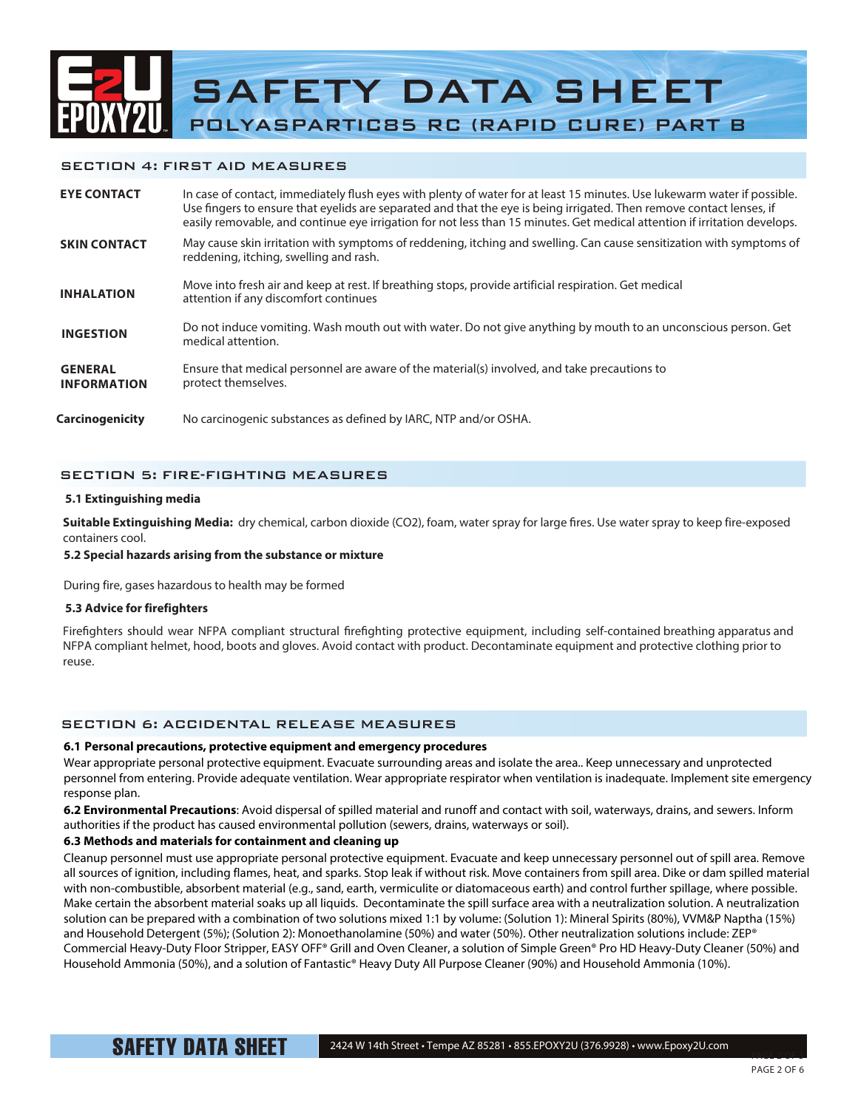

# SECTION 4: FIRST AID MEASURES

| <b>EYE CONTACT</b>                   | In case of contact, immediately flush eyes with plenty of water for at least 15 minutes. Use lukewarm water if possible.<br>Use fingers to ensure that evelids are separated and that the eye is being irrigated. Then remove contact lenses, if<br>easily removable, and continue eye irrigation for not less than 15 minutes. Get medical attention if irritation develops. |
|--------------------------------------|-------------------------------------------------------------------------------------------------------------------------------------------------------------------------------------------------------------------------------------------------------------------------------------------------------------------------------------------------------------------------------|
| <b>SKIN CONTACT</b>                  | May cause skin irritation with symptoms of reddening, itching and swelling. Can cause sensitization with symptoms of<br>reddening, itching, swelling and rash.                                                                                                                                                                                                                |
| <b>INHALATION</b>                    | Move into fresh air and keep at rest. If breathing stops, provide artificial respiration. Get medical<br>attention if any discomfort continues                                                                                                                                                                                                                                |
| <b>INGESTION</b>                     | Do not induce vomiting. Wash mouth out with water. Do not give anything by mouth to an unconscious person. Get<br>medical attention.                                                                                                                                                                                                                                          |
| <b>GENERAL</b><br><b>INFORMATION</b> | Ensure that medical personnel are aware of the material(s) involved, and take precautions to<br>protect themselves.                                                                                                                                                                                                                                                           |
| <b>Carcinogenicity</b>               | No carcinogenic substances as defined by IARC, NTP and/or OSHA.                                                                                                                                                                                                                                                                                                               |

# SECTION 5: FIRE-FIGHTING MEASURES

# **5.1 Extinguishing media**

**Suitable Extinguishing Media:** dry chemical, carbon dioxide (CO2), foam, water spray for large fires. Use water spray to keep fire-exposed containers cool.

# **5.2 Special hazards arising from the substance or mixture**

During fire, gases hazardous to health may be formed

# **5.3 Advice for firefighters**

Firefighters should wear NFPA compliant structural firefighting protective equipment, including self-contained breathing apparatus and NFPA compliant helmet, hood, boots and gloves. Avoid contact with product. Decontaminate equipment and protective clothing prior to reuse.

#### SECTION 6: ACCIDENTAL RELEASE MEASURES

#### **6.1 Personal precautions, protective equipment and emergency procedures**

Wear appropriate personal protective equipment. Evacuate surrounding areas and isolate the area.. Keep unnecessary and unprotected personnel from entering. Provide adequate ventilation. Wear appropriate respirator when ventilation is inadequate. Implement site emergency response plan.

**6.2 Environmental Precautions**: Avoid dispersal of spilled material and runoff and contact with soil, waterways, drains, and sewers. Inform authorities if the product has caused environmental pollution (sewers, drains, waterways or soil).

#### **6.3 Methods and materials for containment and cleaning up**

Cleanup personnel must use appropriate personal protective equipment. Evacuate and keep unnecessary personnel out of spill area. Remove all sources of ignition, including flames, heat, and sparks. Stop leak if without risk. Move containers from spill area. Dike or dam spilled material with non-combustible, absorbent material (e.g., sand, earth, vermiculite or diatomaceous earth) and control further spillage, where possible. Make certain the absorbent material soaks up all liquids. Decontaminate the spill surface area with a neutralization solution. A neutralization solution can be prepared with a combination of two solutions mixed 1:1 by volume: (Solution 1): Mineral Spirits (80%), VVM&P Naptha (15%) and Household Detergent (5%); (Solution 2): Monoethanolamine (50%) and water (50%). Other neutralization solutions include: ZEP® Commercial Heavy-Duty Floor Stripper, EASY OFF® Grill and Oven Cleaner, a solution of Simple Green® Pro HD Heavy-Duty Cleaner (50%) and Household Ammonia (50%), and a solution of Fantastic® Heavy Duty All Purpose Cleaner (90%) and Household Ammonia (10%).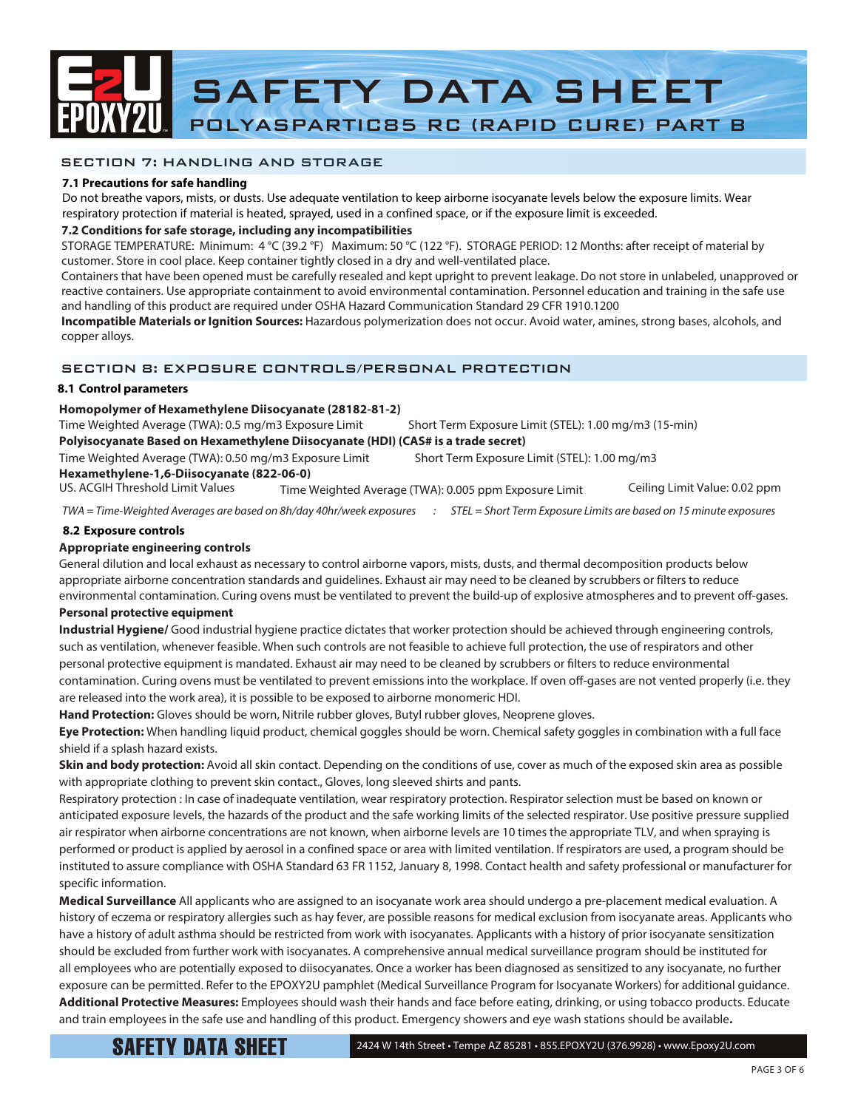

# SECTION 7: HANDLING AND STORAGE

# **7.1 Precautions for safe handling**

Do not breathe vapors, mists, or dusts. Use adequate ventilation to keep airborne isocyanate levels below the exposure limits. Wear respiratory protection if material is heated, sprayed, used in a confined space, or if the exposure limit is exceeded.

# **7.2 Conditions for safe storage, including any incompatibilities**

STORAGE TEMPERATURE: Minimum: 4 °C (39.2 °F) Maximum: 50 °C (122 °F). STORAGE PERIOD: 12 Months: after receipt of material by customer. Store in cool place. Keep container tightly closed in a dry and well-ventilated place.

Containers that have been opened must be carefully resealed and kept upright to prevent leakage. Do not store in unlabeled, unapproved or reactive containers. Use appropriate containment to avoid environmental contamination. Personnel education and training in the safe use and handling of this product are required under OSHA Hazard Communication Standard 29 CFR 1910.1200

**Incompatible Materials or Ignition Sources:** Hazardous polymerization does not occur. Avoid water, amines, strong bases, alcohols, and copper alloys.

# SECTION 8: EXPOSURE CONTROLS/PERSONAL PROTECTION

#### **8.1 Control parameters**

# **Homopolymer of Hexamethylene Diisocyanate (28182-81-2)**

Time Weighted Average (TWA): 0.5 mg/m3 Exposure Limit Short Term Exposure Limit (STEL): 1.00 mg/m3 (15-min)

**Polyisocyanate Based on Hexamethylene Diisocyanate (HDI) (CAS# is a trade secret)**

Time Weighted Average (TWA): 0.50 mg/m3 Exposure Limit Short Term Exposure Limit (STEL): 1.00 mg/m3

# **Hexamethylene-1,6-Diisocyanate (822-06-0)**

US. ACGIH Threshold Limit Values Time Weighted Average (TWA): 0.005 ppm Exposure Limit Ceiling Limit Value: 0.02 ppm

TWA = Time-Weighted Averages are based on 8h/day 40hr/week exposures : STEL = Short Term Exposure Limits are based on 15 minute exposures

# **8.2 Exposure controls**

# **Appropriate engineering controls**

General dilution and local exhaust as necessary to control airborne vapors, mists, dusts, and thermal decomposition products below appropriate airborne concentration standards and guidelines. Exhaust air may need to be cleaned by scrubbers or filters to reduce environmental contamination. Curing ovens must be ventilated to prevent the build-up of explosive atmospheres and to prevent off-gases.

#### **Personal protective equipment**

**Industrial Hygiene/** Good industrial hygiene practice dictates that worker protection should be achieved through engineering controls, such as ventilation, whenever feasible. When such controls are not feasible to achieve full protection, the use of respirators and other personal protective equipment is mandated. Exhaust air may need to be cleaned by scrubbers or filters to reduce environmental contamination. Curing ovens must be ventilated to prevent emissions into the workplace. If oven off-gases are not vented properly (i.e. they are released into the work area), it is possible to be exposed to airborne monomeric HDI.

**Hand Protection:** Gloves should be worn, Nitrile rubber gloves, Butyl rubber gloves, Neoprene gloves.

**Eye Protection:** When handling liquid product, chemical goggles should be worn. Chemical safety goggles in combination with a full face shield if a splash hazard exists.

**Skin and body protection:** Avoid all skin contact. Depending on the conditions of use, cover as much of the exposed skin area as possible with appropriate clothing to prevent skin contact., Gloves, long sleeved shirts and pants.

Respiratory protection : In case of inadequate ventilation, wear respiratory protection. Respirator selection must be based on known or anticipated exposure levels, the hazards of the product and the safe working limits of the selected respirator. Use positive pressure supplied air respirator when airborne concentrations are not known, when airborne levels are 10 times the appropriate TLV, and when spraying is performed or product is applied by aerosol in a confined space or area with limited ventilation. If respirators are used, a program should be instituted to assure compliance with OSHA Standard 63 FR 1152, January 8, 1998. Contact health and safety professional or manufacturer for specific information.

**Medical Surveillance** All applicants who are assigned to an isocyanate work area should undergo a pre-placement medical evaluation. A history of eczema or respiratory allergies such as hay fever, are possible reasons for medical exclusion from isocyanate areas. Applicants who have a history of adult asthma should be restricted from work with isocyanates. Applicants with a history of prior isocyanate sensitization should be excluded from further work with isocyanates. A comprehensive annual medical surveillance program should be instituted for all employees who are potentially exposed to diisocyanates. Once a worker has been diagnosed as sensitized to any isocyanate, no further exposure can be permitted. Refer to the EPOXY2U pamphlet (Medical Surveillance Program for Isocyanate Workers) for additional guidance. **Additional Protective Measures:** Employees should wash their hands and face before eating, drinking, or using tobacco products. Educate and train employees in the safe use and handling of this product. Emergency showers and eye wash stations should be available**.**

**SAFETY DATA SHEET** 2424 W 14th Street • Tempe AZ 85281 • 855.EPOXY2U (376.9928) • www.Epoxy2U.com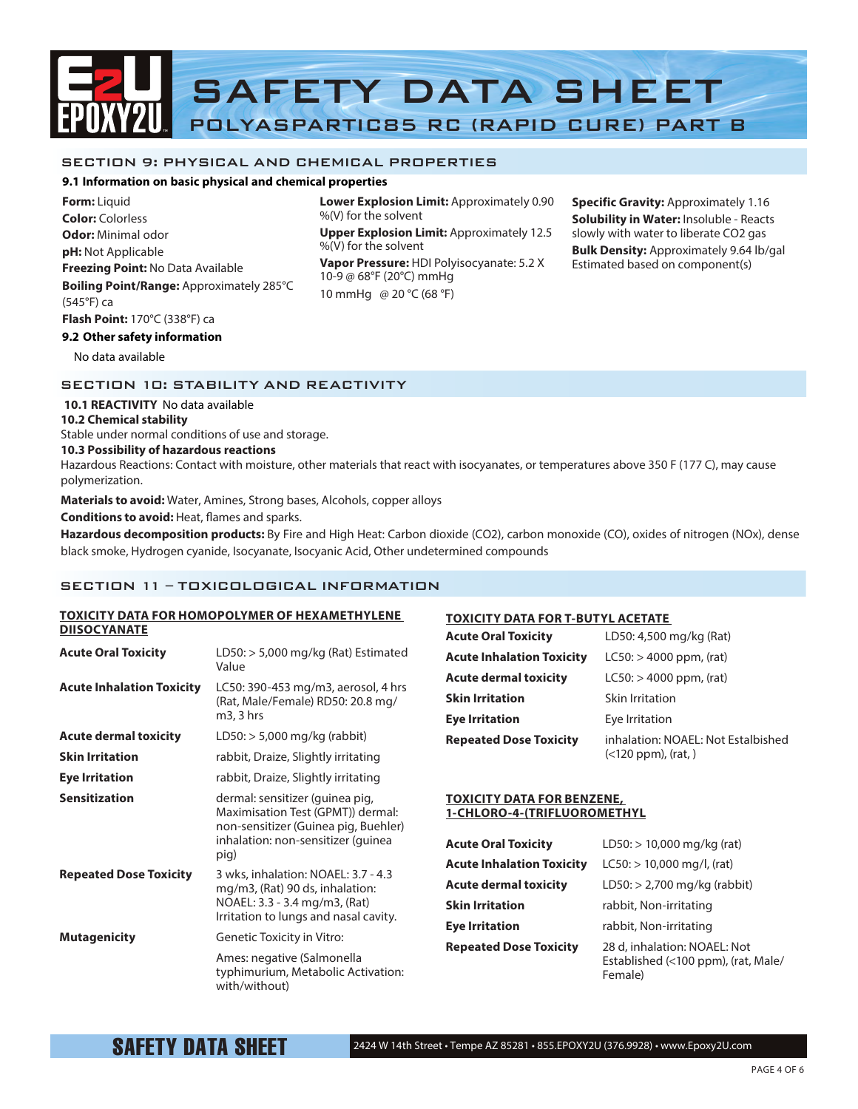

%(V) for the solvent

%(V) for the solvent

10-9 @ 68°F (20°C) mmHg 10 mmHg @ 20 °C (68 °F)

**Lower Explosion Limit:** Approximately 0.90

**Upper Explosion Limit:** Approximately 12.5

**Vapor Pressure:** HDI Polyisocyanate: 5.2 X

# SECTION 9: PHYSICAL AND CHEMICAL PROPERTIES

# **9.1 Information on basic physical and chemical properties**

**Form:** Liquid **Color:** Colorless **Odor:** Minimal odor **pH:** Not Applicable **Freezing Point:** No Data Available **Boiling Point/Range:** Approximately 285°C (545°F) ca

**Flash Point:** 170°C (338°F) ca

# **9.2 Other safety information**

No data available

# SECTION 10: STABILITY AND REACTIVITY

#### **10.1 REACTIVITY** No data available

#### **10.2 Chemical stability**

Stable under normal conditions of use and storage.

# **10.3 Possibility of hazardous reactions**

Hazardous Reactions: Contact with moisture, other materials that react with isocyanates, or temperatures above 350 F (177 C), may cause polymerization.

**Materials to avoid:** Water, Amines, Strong bases, Alcohols, copper alloys

**Conditions to avoid:** Heat, flames and sparks.

Hazardous decomposition products: By Fire and High Heat: Carbon dioxide (CO2), carbon monoxide (CO), oxides of nitrogen (NOx), dense black smoke, Hydrogen cyanide, Isocyanate, Isocyanic Acid, Other undetermined compounds

# SECTION 11 – TOXICOLOGICAL INFORMATION

# **TOXICITY DATA FOR HOMOPOLYMER OF HEXAMETHYLENE**

| <b>Acute Oral Toxicity</b>       | $LD50:$ > 5,000 mg/kg (Rat) Estimated<br>Value                                                                                                             |
|----------------------------------|------------------------------------------------------------------------------------------------------------------------------------------------------------|
| <b>Acute Inhalation Toxicity</b> | LC50: 390-453 mg/m3, aerosol, 4 hrs<br>(Rat, Male/Female) RD50: 20.8 mg/<br>m3, 3 hrs                                                                      |
| <b>Acute dermal toxicity</b>     | LD50: > 5,000 mg/kg (rabbit)                                                                                                                               |
| <b>Skin Irritation</b>           | rabbit, Draize, Slightly irritating                                                                                                                        |
| <b>Eye Irritation</b>            | rabbit, Draize, Slightly irritating                                                                                                                        |
| <b>Sensitization</b>             | dermal: sensitizer (guinea pig,<br>Maximisation Test (GPMT)) dermal:<br>non-sensitizer (Guinea pig, Buehler)<br>inhalation: non-sensitizer (quinea<br>pig) |
| <b>Repeated Dose Toxicity</b>    | 3 wks, inhalation: NOAEL: 3.7 - 4.3<br>mg/m3, (Rat) 90 ds, inhalation:<br>NOAEL: 3.3 - 3.4 mg/m3, (Rat)<br>Irritation to lungs and nasal cavity.           |
| <b>Mutagenicity</b>              | Genetic Toxicity in Vitro:                                                                                                                                 |
|                                  | Ames: negative (Salmonella<br>typhimurium, Metabolic Activation:<br>with/without)                                                                          |
|                                  |                                                                                                                                                            |

# **TOXICITY DATA FOR T-BUTYL ACETATE**

| <b>DIISOCYANATE</b>              |                                                                          | <b>Acute Oral Toxicity</b>       | LD50: 4,500 mg/kg (Rat)            |
|----------------------------------|--------------------------------------------------------------------------|----------------------------------|------------------------------------|
| <b>Acute Oral Toxicity</b>       | $LD50:$ > 5,000 mg/kg (Rat) Estimated<br>Value                           | <b>Acute Inhalation Toxicity</b> | $LC50: > 4000$ ppm, (rat)          |
|                                  |                                                                          | <b>Acute dermal toxicity</b>     | $LC50: > 4000$ ppm, (rat)          |
| <b>Acute Inhalation Toxicity</b> | LC50: 390-453 mg/m3, aerosol, 4 hrs<br>(Rat, Male/Female) RD50: 20.8 mg/ | <b>Skin Irritation</b>           | Skin Irritation                    |
|                                  | $m3.3$ hrs                                                               | <b>Eye Irritation</b>            | Eye Irritation                     |
| Acute dermal toxicity            | $LD50:$ > 5,000 mg/kg (rabbit)                                           | <b>Repeated Dose Toxicity</b>    | inhalation: NOAEL: Not Estalbished |
| Skin Irritation                  | rabbit, Draize, Slightly irritating                                      |                                  | $(<120$ ppm), $(rat, )$            |

**Specific Gravity:** Approximately 1.16 **Solubility in Water:** Insoluble - Reacts slowly with water to liberate CO2 gas **Bulk Density:** Approximately 9.64 lb/gal Estimated based on component(s)

# **TOXICITY DATA FOR BENZENE, 1-CHLORO-4-(TRIFLUOROMETHYL**

| <b>Acute Oral Toxicity</b>    | $LD50:$ > 10,000 mg/kg (rat)                                                   |
|-------------------------------|--------------------------------------------------------------------------------|
| Acute Inhalation Toxicity     | $LC50$ : > 10,000 mg/l, (rat)                                                  |
| Acute dermal toxicity         | $LD50:$ > 2,700 mg/kg (rabbit)                                                 |
| Skin Irritation               | rabbit, Non-irritating                                                         |
| <b>Eye Irritation</b>         | rabbit, Non-irritating                                                         |
| <b>Repeated Dose Toxicity</b> | 28 d, inhalation: NOAEL: Not<br>Established (<100 ppm), (rat, Male/<br>Female) |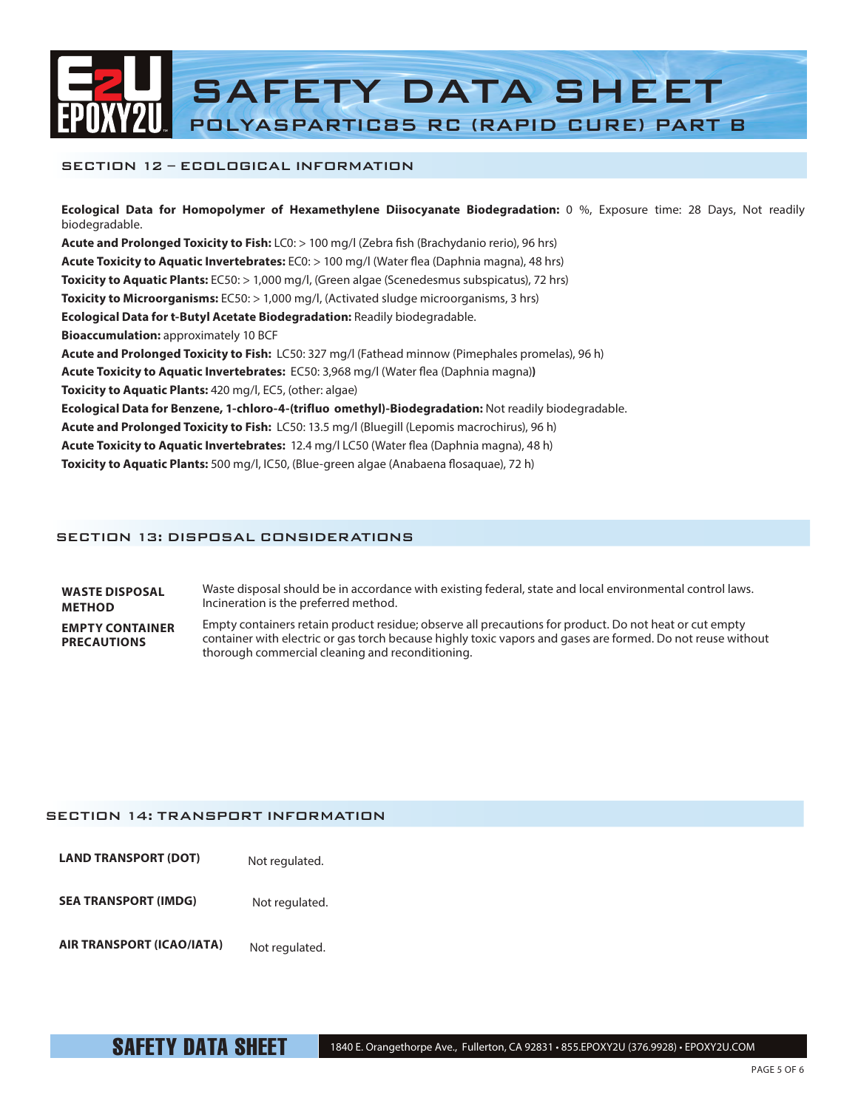

# SECTION 12 – ECOLOGICAL INFORMATION

**Ecological Data for Homopolymer of Hexamethylene Diisocyanate Biodegradation:** 0 %, Exposure time: 28 Days, Not readily biodegradable.

**Acute and Prolonged Toxicity to Fish:** LC0: > 100 mg/l (Zebra fish (Brachydanio rerio), 96 hrs) **Acute Toxicity to Aquatic Invertebrates:** EC0: > 100 mg/l (Water flea (Daphnia magna), 48 hrs) **Toxicity to Aquatic Plants:** EC50: > 1,000 mg/l, (Green algae (Scenedesmus subspicatus), 72 hrs) **Toxicity to Microorganisms:** EC50: > 1,000 mg/l, (Activated sludge microorganisms, 3 hrs) **Ecological Data for t-Butyl Acetate Biodegradation:** Readily biodegradable. **Bioaccumulation:** approximately 10 BCF **Acute and Prolonged Toxicity to Fish:** LC50: 327 mg/l (Fathead minnow (Pimephales promelas), 96 h) **Acute Toxicity to Aquatic Invertebrates:** EC50: 3,968 mg/l (Water flea (Daphnia magna)**) Toxicity to Aquatic Plants:** 420 mg/l, EC5, (other: algae) **Ecological Data for Benzene, 1-chloro-4-(trifluo omethyl)-Biodegradation:** Not readily biodegradable. **Acute and Prolonged Toxicity to Fish:** LC50: 13.5 mg/l (Bluegill (Lepomis macrochirus), 96 h) **Acute Toxicity to Aquatic Invertebrates:** 12.4 mg/l LC50 (Water flea (Daphnia magna), 48 h) **Toxicity to Aquatic Plants:** 500 mg/l, IC50, (Blue-green algae (Anabaena flosaquae), 72 h)

# SECTION 13: DISPOSAL CONSIDERATIONS

**WASTE DISPOSAL METHOD** Waste disposal should be in accordance with existing federal, state and local environmental control laws. Incineration is the preferred method. **EMPTY CONTAINER PRECAUTIONS** Empty containers retain product residue; observe all precautions for product. Do not heat or cut empty container with electric or gas torch because highly toxic vapors and gases are formed. Do not reuse without thorough commercial cleaning and reconditioning.

# SECTION 14: TRANSPORT INFORMATION

| <b>LAND TRANSPORT (DOT)</b> | Not regulated. |
|-----------------------------|----------------|
|-----------------------------|----------------|

**SEA TRANSPORT (IMDG)**  Not regulated.

**AIR TRANSPORT (ICAO/IATA)** Not regulated.